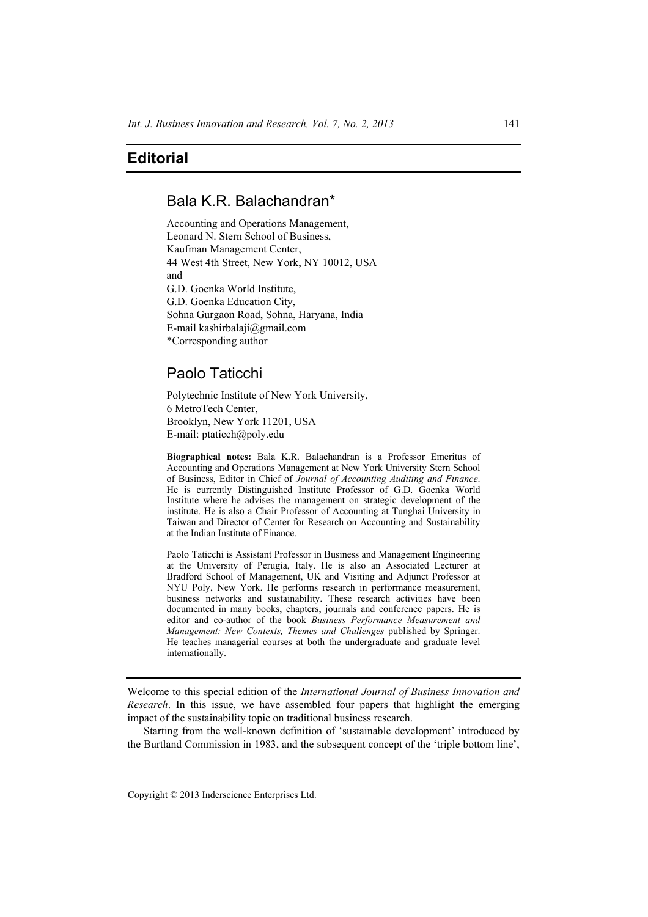## **Editorial**

## Bala K.R. Balachandran\*

Accounting and Operations Management, Leonard N. Stern School of Business, Kaufman Management Center, 44 West 4th Street, New York, NY 10012, USA and G.D. Goenka World Institute, G.D. Goenka Education City, Sohna Gurgaon Road, Sohna, Haryana, India E-mail kashirbalaji@gmail.com \*Corresponding author

## Paolo Taticchi

Polytechnic Institute of New York University, 6 MetroTech Center, Brooklyn, New York 11201, USA E-mail: ptaticch@poly.edu

**Biographical notes:** Bala K.R. Balachandran is a Professor Emeritus of Accounting and Operations Management at New York University Stern School of Business, Editor in Chief of *Journal of Accounting Auditing and Finance*. He is currently Distinguished Institute Professor of G.D. Goenka World Institute where he advises the management on strategic development of the institute. He is also a Chair Professor of Accounting at Tunghai University in Taiwan and Director of Center for Research on Accounting and Sustainability at the Indian Institute of Finance.

Paolo Taticchi is Assistant Professor in Business and Management Engineering at the University of Perugia, Italy. He is also an Associated Lecturer at Bradford School of Management, UK and Visiting and Adjunct Professor at NYU Poly, New York. He performs research in performance measurement, business networks and sustainability. These research activities have been documented in many books, chapters, journals and conference papers. He is editor and co-author of the book *Business Performance Measurement and Management: New Contexts, Themes and Challenges* published by Springer. He teaches managerial courses at both the undergraduate and graduate level internationally.

Welcome to this special edition of the *International Journal of Business Innovation and Research*. In this issue, we have assembled four papers that highlight the emerging impact of the sustainability topic on traditional business research.

Starting from the well-known definition of 'sustainable development' introduced by the Burtland Commission in 1983, and the subsequent concept of the 'triple bottom line',